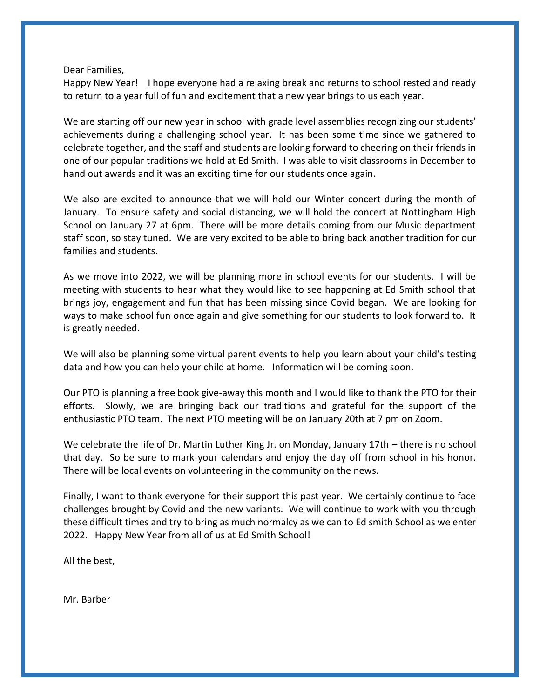#### Dear Families,

Happy New Year! I hope everyone had a relaxing break and returns to school rested and ready to return to a year full of fun and excitement that a new year brings to us each year.

We are starting off our new year in school with grade level assemblies recognizing our students' achievements during a challenging school year. It has been some time since we gathered to celebrate together, and the staff and students are looking forward to cheering on their friends in one of our popular traditions we hold at Ed Smith. I was able to visit classrooms in December to hand out awards and it was an exciting time for our students once again.

We also are excited to announce that we will hold our Winter concert during the month of January. To ensure safety and social distancing, we will hold the concert at Nottingham High School on January 27 at 6pm. There will be more details coming from our Music department staff soon, so stay tuned. We are very excited to be able to bring back another tradition for our families and students.

As we move into 2022, we will be planning more in school events for our students. I will be meeting with students to hear what they would like to see happening at Ed Smith school that brings joy, engagement and fun that has been missing since Covid began. We are looking for ways to make school fun once again and give something for our students to look forward to. It is greatly needed.

We will also be planning some virtual parent events to help you learn about your child's testing data and how you can help your child at home. Information will be coming soon.

Our PTO is planning a free book give-away this month and I would like to thank the PTO for their efforts. Slowly, we are bringing back our traditions and grateful for the support of the enthusiastic PTO team. The next PTO meeting will be on January 20th at 7 pm on Zoom.

We celebrate the life of Dr. Martin Luther King Jr. on Monday, January 17th – there is no school that day. So be sure to mark your calendars and enjoy the day off from school in his honor. There will be local events on volunteering in the community on the news.

Finally, I want to thank everyone for their support this past year. We certainly continue to face challenges brought by Covid and the new variants. We will continue to work with you through these difficult times and try to bring as much normalcy as we can to Ed smith School as we enter 2022. Happy New Year from all of us at Ed Smith School!

All the best,

Mr. Barber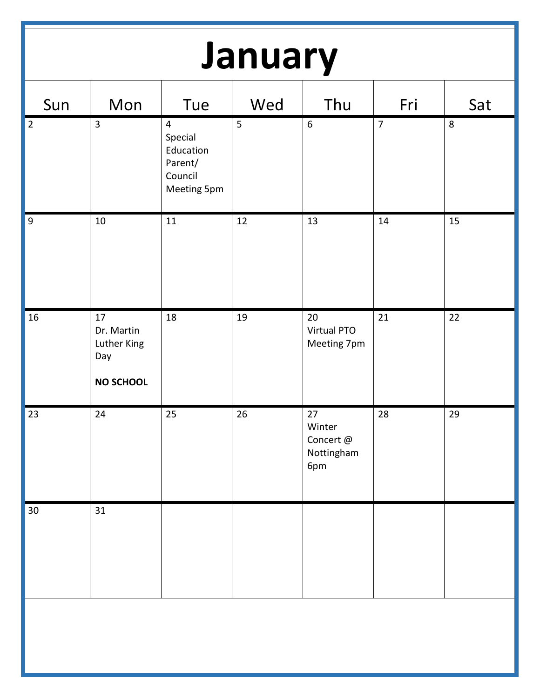# **January**

| Sun            | Mon                                                        | Tue                                                                         | Wed | Thu                                            | Fri            | Sat |
|----------------|------------------------------------------------------------|-----------------------------------------------------------------------------|-----|------------------------------------------------|----------------|-----|
| $\vert$ 2      | $\overline{3}$                                             | $\overline{4}$<br>Special<br>Education<br>Parent/<br>Council<br>Meeting 5pm | 5   | $\boldsymbol{6}$                               | $\overline{7}$ | 8   |
| $\overline{9}$ | $10\,$                                                     | 11                                                                          | 12  | 13                                             | $14\,$         | 15  |
| $16\,$         | 17<br>Dr. Martin<br>Luther King<br>Day<br><b>NO SCHOOL</b> | 18                                                                          | 19  | 20<br>Virtual PTO<br>Meeting 7pm               | 21             | 22  |
| 23             | 24                                                         | 25                                                                          | 26  | 27<br>Winter<br>Concert @<br>Nottingham<br>6pm | 28             | 29  |
| $30\,$         | 31                                                         |                                                                             |     |                                                |                |     |
|                |                                                            |                                                                             |     |                                                |                |     |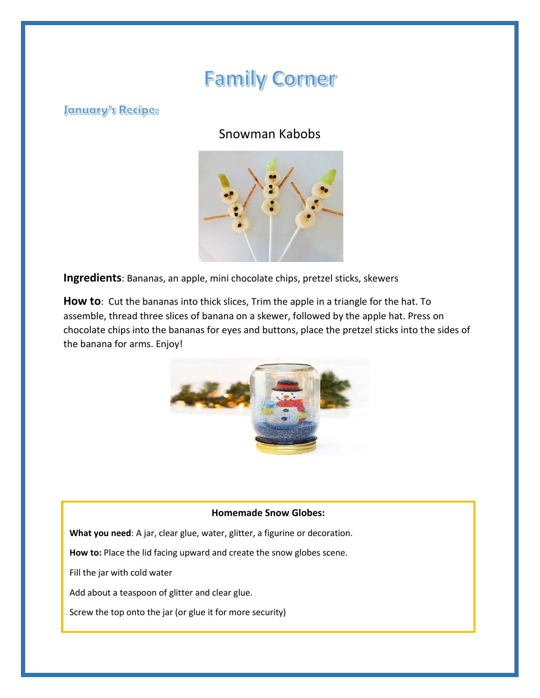## **Family Corner**

**January's Recipes** 

### Snowman Kabobs



**Ingredients**: Bananas, an apple, mini chocolate chips, pretzel sticks, skewers

**How to**: Cut the bananas into thick slices, Trim the apple in a triangle for the hat. To assemble, thread three slices of banana on a skewer, followed by the apple hat. Press on chocolate chips into the bananas for eyes and buttons, place the pretzel sticks into the sides of the banana for arms. Enjoy!



### **Homemade Snow Globes:**

**What you need**: A jar, clear glue, water, glitter, a figurine or decoration.

**How to:** Place the lid facing upward and create the snow globes scene.

Fill the jar with cold water

Add about a teaspoon of glitter and clear glue.

Screw the top onto the jar (or glue it for more security)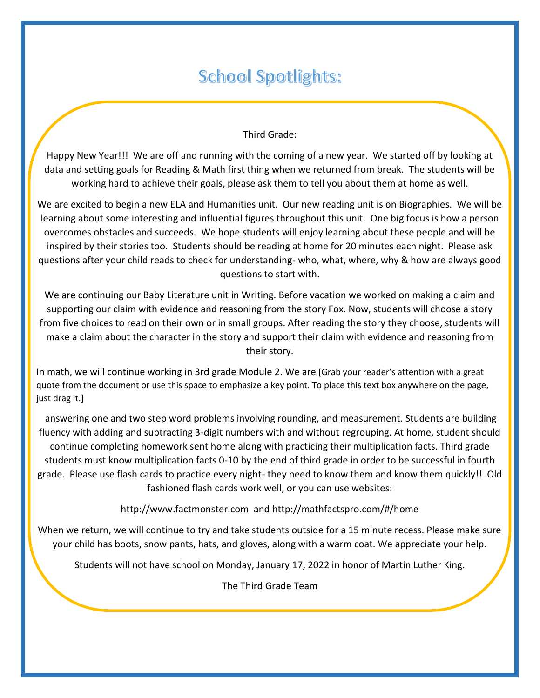### **School Spotlights:**

### Third Grade:

Happy New Year!!! We are off and running with the coming of a new year. We started off by looking at data and setting goals for Reading & Math first thing when we returned from break. The students will be working hard to achieve their goals, please ask them to tell you about them at home as well.

We are excited to begin a new ELA and Humanities unit. Our new reading unit is on Biographies. We will be learning about some interesting and influential figures throughout this unit. One big focus is how a person overcomes obstacles and succeeds. We hope students will enjoy learning about these people and will be inspired by their stories too. Students should be reading at home for 20 minutes each night. Please ask questions after your child reads to check for understanding- who, what, where, why & how are always good questions to start with.

We are continuing our Baby Literature unit in Writing. Before vacation we worked on making a claim and supporting our claim with evidence and reasoning from the story Fox. Now, students will choose a story from five choices to read on their own or in small groups. After reading the story they choose, students will make a claim about the character in the story and support their claim with evidence and reasoning from their story.

In math, we will continue working in 3rd grade Module 2. We are [Grab your reader's attention with a great quote from the document or use this space to emphasize a key point. To place this text box anywhere on the page, just drag it.]

answering one and two step word problems involving rounding, and measurement. Students are building fluency with adding and subtracting 3-digit numbers with and without regrouping. At home, student should continue completing homework sent home along with practicing their multiplication facts. Third grade students must know multiplication facts 0-10 by the end of third grade in order to be successful in fourth grade. Please use flash cards to practice every night- they need to know them and know them quickly!! Old fashioned flash cards work well, or you can use websites:

http://www.factmonster.com and http://mathfactspro.com/#/home

When we return, we will continue to try and take students outside for a 15 minute recess. Please make sure your child has boots, snow pants, hats, and gloves, along with a warm coat. We appreciate your help.

Students will not have school on Monday, January 17, 2022 in honor of Martin Luther King.

The Third Grade Team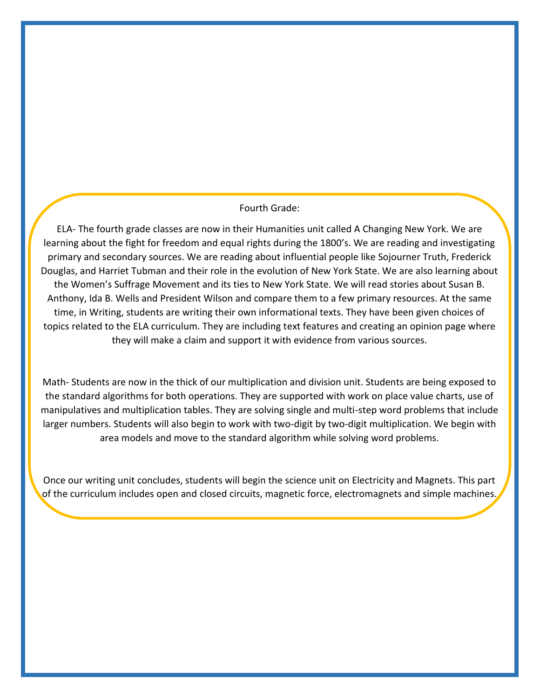### Fourth Grade:

ELA- The fourth grade classes are now in their Humanities unit called A Changing New York. We are learning about the fight for freedom and equal rights during the 1800's. We are reading and investigating primary and secondary sources. We are reading about influential people like Sojourner Truth, Frederick Douglas, and Harriet Tubman and their role in the evolution of New York State. We are also learning about the Women's Suffrage Movement and its ties to New York State. We will read stories about Susan B. Anthony, Ida B. Wells and President Wilson and compare them to a few primary resources. At the same time, in Writing, students are writing their own informational texts. They have been given choices of topics related to the ELA curriculum. They are including text features and creating an opinion page where they will make a claim and support it with evidence from various sources.

Math- Students are now in the thick of our multiplication and division unit. Students are being exposed to the standard algorithms for both operations. They are supported with work on place value charts, use of manipulatives and multiplication tables. They are solving single and multi-step word problems that include larger numbers. Students will also begin to work with two-digit by two-digit multiplication. We begin with area models and move to the standard algorithm while solving word problems.

Once our writing unit concludes, students will begin the science unit on Electricity and Magnets. This part of the curriculum includes open and closed circuits, magnetic force, electromagnets and simple machines.